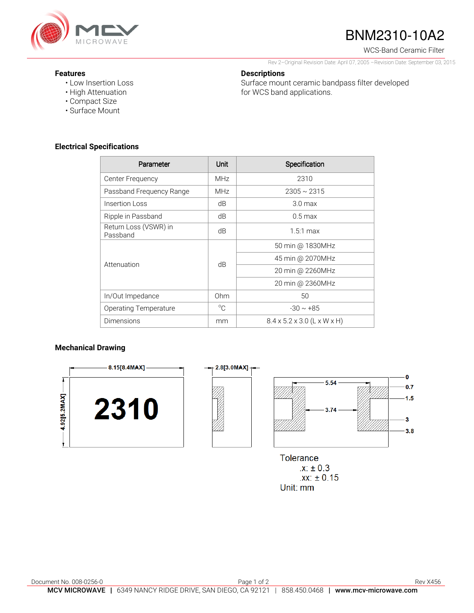

# BNM2310-10A2

WCS-Band Ceramic Filter

Rev 2–Original Revision Date: April 07, 2005 –Revision Date: September 03, 2015

Surface mount ceramic bandpass filter developed

#### **Features**

- Low Insertion Loss
- High Attenuation
- Compact Size
- Surface Mount

### **Electrical Specifications**

| Parameter                         | <b>Unit</b> | Specification                           |
|-----------------------------------|-------------|-----------------------------------------|
| Center Frequency                  | <b>MHz</b>  | 2310                                    |
| Passband Frequency Range          | <b>MHz</b>  | $2305 \sim 2315$                        |
| Insertion Loss                    | dB          | 3.0 <sub>max</sub>                      |
| Ripple in Passband                | dB          | $0.5 \,\mathrm{max}$                    |
| Return Loss (VSWR) in<br>Passband | dB          | $1.5:1$ max                             |
| Attenuation                       | dB          | 50 min @ 1830MHz                        |
|                                   |             | 45 min @ 2070MHz                        |
|                                   |             | 20 min @ 2260MHz                        |
|                                   |             | 20 min @ 2360MHz                        |
| In/Out Impedance                  | Ohm         | 50                                      |
| <b>Operating Temperature</b>      | $^{\circ}C$ | $-30 \sim +85$                          |
| Dimensions                        | mm          | $8.4 \times 5.2 \times 3.0$ (L x W x H) |

**Descriptions** 

for WCS band applications.

#### **Mechanical Drawing**



**Tolerance**  $\chi$ :  $\pm$  0.3  $.xx: ±0.15$ Unit: mm